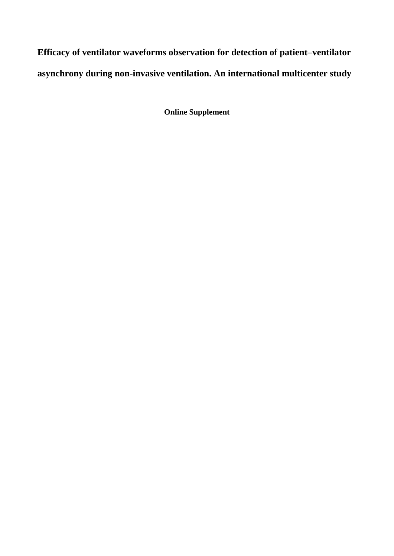**Efficacy of ventilator waveforms observation for detection of patient–ventilator asynchrony during non-invasive ventilation. An international multicenter study**

**Online Supplement**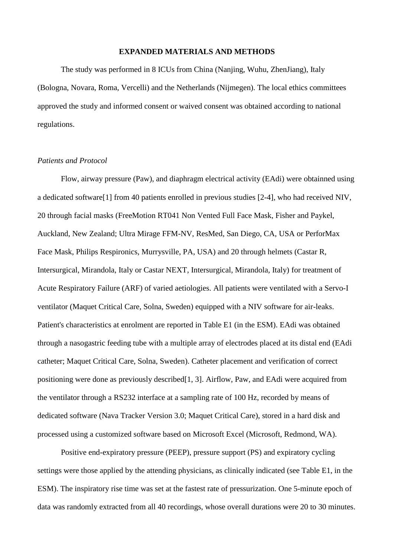#### **EXPANDED MATERIALS AND METHODS**

The study was performed in 8 ICUs from China (Nanjing, Wuhu, ZhenJiang), Italy (Bologna, Novara, Roma, Vercelli) and the Netherlands (Nijmegen). The local ethics committees approved the study and informed consent or waived consent was obtained according to national regulations.

## *Patients and Protocol*

Flow, airway pressure (Paw), and diaphragm electrical activity (EAdi) were obtainned using a dedicated software[1] from 40 patients enrolled in previous studies [2-4], who had received NIV, 20 through facial masks (FreeMotion RT041 Non Vented Full Face Mask, Fisher and Paykel, Auckland, New Zealand; Ultra Mirage FFM-NV, ResMed, San Diego, CA, USA or PerforMax Face Mask, Philips Respironics, Murrysville, PA, USA) and 20 through helmets (Castar R, Intersurgical, Mirandola, Italy or Castar NEXT, Intersurgical, Mirandola, Italy) for treatment of Acute Respiratory Failure (ARF) of varied aetiologies. All patients were ventilated with a Servo-I ventilator (Maquet Critical Care, Solna, Sweden) equipped with a NIV software for air-leaks. Patient's characteristics at enrolment are reported in Table E1 (in the ESM). EAdi was obtained through a nasogastric feeding tube with a multiple array of electrodes placed at its distal end (EAdi catheter; Maquet Critical Care, Solna, Sweden). Catheter placement and verification of correct positioning were done as previously described[1, 3]. Airflow, Paw, and EAdi were acquired from the ventilator through a RS232 interface at a sampling rate of 100 Hz, recorded by means of dedicated software (Nava Tracker Version 3.0; Maquet Critical Care), stored in a hard disk and processed using a customized software based on Microsoft Excel (Microsoft, Redmond, WA).

Positive end-expiratory pressure (PEEP), pressure support (PS) and expiratory cycling settings were those applied by the attending physicians, as clinically indicated (see Table E1, in the ESM). The inspiratory rise time was set at the fastest rate of pressurization. One 5-minute epoch of data was randomly extracted from all 40 recordings, whose overall durations were 20 to 30 minutes.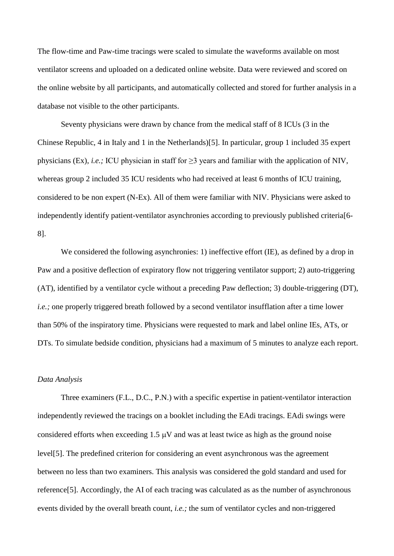The flow-time and Paw-time tracings were scaled to simulate the waveforms available on most ventilator screens and uploaded on a dedicated online website. Data were reviewed and scored on the online website by all participants, and automatically collected and stored for further analysis in a database not visible to the other participants.

Seventy physicians were drawn by chance from the medical staff of 8 ICUs (3 in the Chinese Republic, 4 in Italy and 1 in the Netherlands)[5]. In particular, group 1 included 35 expert physicians (Ex), *i.e.*; ICU physician in staff for  $\geq$ 3 years and familiar with the application of NIV, whereas group 2 included 35 ICU residents who had received at least 6 months of ICU training, considered to be non expert (N-Ex). All of them were familiar with NIV. Physicians were asked to independently identify patient-ventilator asynchronies according to previously published criteria[6- 8].

We considered the following asynchronies: 1) ineffective effort (IE), as defined by a drop in Paw and a positive deflection of expiratory flow not triggering ventilator support; 2) auto-triggering (AT), identified by a ventilator cycle without a preceding Paw deflection; 3) double-triggering (DT), *i.e.*; one properly triggered breath followed by a second ventilator insufflation after a time lower than 50% of the inspiratory time. Physicians were requested to mark and label online IEs, ATs, or DTs. To simulate bedside condition, physicians had a maximum of 5 minutes to analyze each report.

#### *Data Analysis*

Three examiners (F.L., D.C., P.N.) with a specific expertise in patient-ventilator interaction independently reviewed the tracings on a booklet including the EAdi tracings. EAdi swings were considered efforts when exceeding  $1.5 \mu V$  and was at least twice as high as the ground noise level[5]. The predefined criterion for considering an event asynchronous was the agreement between no less than two examiners. This analysis was considered the gold standard and used for reference[5]. Accordingly, the AI of each tracing was calculated as as the number of asynchronous events divided by the overall breath count, *i.e.;* the sum of ventilator cycles and non-triggered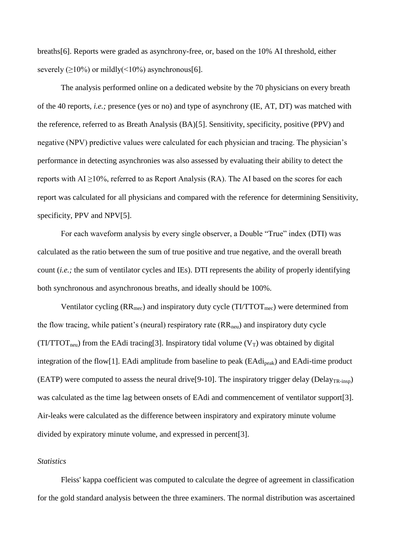breaths[6]. Reports were graded as asynchrony-free, or, based on the 10% AI threshold, either severely  $(>10\%)$  or mildly $(<10\%)$  asynchronous[6].

The analysis performed online on a dedicated website by the 70 physicians on every breath of the 40 reports, *i.e.;* presence (yes or no) and type of asynchrony (IE, AT, DT) was matched with the reference, referred to as Breath Analysis (BA)[5]. Sensitivity, specificity, positive (PPV) and negative (NPV) predictive values were calculated for each physician and tracing. The physician's performance in detecting asynchronies was also assessed by evaluating their ability to detect the reports with  $AI \ge 10\%$ , referred to as Report Analysis (RA). The AI based on the scores for each report was calculated for all physicians and compared with the reference for determining Sensitivity, specificity, PPV and NPV[5].

For each waveform analysis by every single observer, a Double "True" index (DTI) was calculated as the ratio between the sum of true positive and true negative, and the overall breath count (*i.e.;* the sum of ventilator cycles and IEs). DTI represents the ability of properly identifying both synchronous and asynchronous breaths, and ideally should be 100%.

Ventilator cycling  $(RR_{\text{mec}})$  and inspiratory duty cycle  $(TI/TTOT_{\text{mec}})$  were determined from the flow tracing, while patient's (neural) respiratory rate  $(RR<sub>nen</sub>)$  and inspiratory duty cycle (TI/TTOT<sub>neu</sub>) from the EAdi tracing<sup>[3]</sup>. Inspiratory tidal volume ( $V_T$ ) was obtained by digital integration of the flow[1]. EAdi amplitude from baseline to peak (EAdipeak) and EAdi-time product (EATP) were computed to assess the neural drive [9-10]. The inspiratory trigger delay (Delay<sub>TR-insp</sub>) was calculated as the time lag between onsets of EAdi and commencement of ventilator support[3]. Air-leaks were calculated as the difference between inspiratory and expiratory minute volume divided by expiratory minute volume, and expressed in percent[3].

## *Statistics*

Fleiss' kappa coefficient was computed to calculate the degree of agreement in classification for the gold standard analysis between the three examiners. The normal distribution was ascertained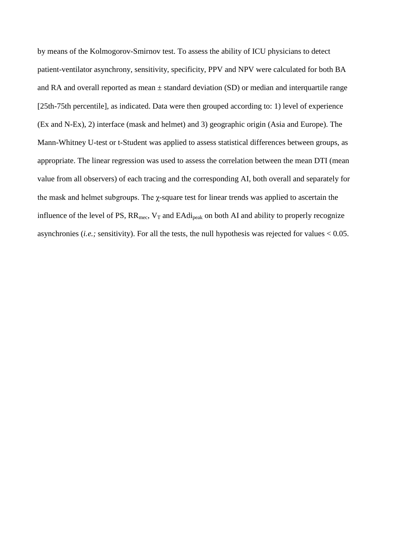by means of the Kolmogorov-Smirnov test. To assess the ability of ICU physicians to detect patient-ventilator asynchrony, sensitivity, specificity, PPV and NPV were calculated for both BA and RA and overall reported as mean  $\pm$  standard deviation (SD) or median and interquartile range [25th-75th percentile], as indicated. Data were then grouped according to: 1) level of experience (Ex and N-Ex), 2) interface (mask and helmet) and 3) geographic origin (Asia and Europe). The Mann-Whitney U-test or t-Student was applied to assess statistical differences between groups, as appropriate. The linear regression was used to assess the correlation between the mean DTI (mean value from all observers) of each tracing and the corresponding AI, both overall and separately for the mask and helmet subgroups. The χ-square test for linear trends was applied to ascertain the influence of the level of PS,  $RR_{\text{mec}}$ ,  $V_T$  and  $EAdi_{\text{peak}}$  on both AI and ability to properly recognize asynchronies (*i.e.;* sensitivity). For all the tests, the null hypothesis was rejected for values < 0.05.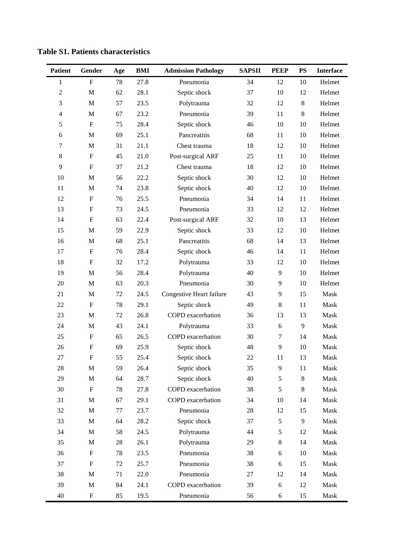| <b>Patient</b>   | Gender                    | Age    | <b>BMI</b> | <b>Admission Pathology</b> | <b>SAPSII</b> | <b>PEEP</b>   | <b>PS</b> | <b>Interface</b> |
|------------------|---------------------------|--------|------------|----------------------------|---------------|---------------|-----------|------------------|
| $\mathbf{1}$     | ${\bf F}$                 | 78     | 27.8       | Pneumonia                  | 34            | 12            | 10        | Helmet           |
| $\boldsymbol{2}$ | $\mathbf M$               | 62     | 28.1       | Septic shock               | 37            | 10            | 12        | Helmet           |
| 3                | M                         | 57     | 23.5       | Polytrauma                 | 32            | 12            | $8\,$     | Helmet           |
| 4                | M                         | 67     | 23.2       | Pneumonia                  | 39            | 11            | $8\,$     | Helmet           |
| 5                | $\boldsymbol{\mathrm{F}}$ | 75     | 28.4       | Septic shock               | 46            | 10            | 10        | Helmet           |
| $\epsilon$       | M                         | 69     | 25.1       | Pancreatitis               | 68            | 11            | 10        | Helmet           |
| 7                | M                         | 31     | 21.1       | Chest trauma               | 18            | 12            | 10        | Helmet           |
| $8\,$            | $\boldsymbol{\mathrm{F}}$ | 45     | 21.0       | Post-surgical ARF          | 25            | 11            | 10        | Helmet           |
| 9                | $\boldsymbol{\mathrm{F}}$ | 37     | 21.2       | Chest trauma               | 18            | 12            | 10        | Helmet           |
| 10               | $\mathbf M$               | 56     | 22.2       | Septic shock               | 30            | 12            | 10        | Helmet           |
| 11               | $\mathbf M$               | 74     | 23.8       | Septic shock               | 40            | 12            | 10        | Helmet           |
| 12               | $\boldsymbol{\mathrm{F}}$ | 76     | 25.5       | Pneumonia                  | 34            | 14            | 11        | Helmet           |
| 13               | $\boldsymbol{\mathrm{F}}$ | 73     | 24.5       | Pneumonia                  | 33            | 12            | 12        | Helmet           |
| 14               | $\boldsymbol{\mathrm{F}}$ | 63     | 22.4       | Post-surgical ARF          | 32            | 10            | 13        | Helmet           |
| 15               | M                         | 59     | 22.9       | Septic shock               | 33            | 12            | 10        | Helmet           |
| 16               | M                         | 68     | 25.1       | Pancreatitis               | 68            | 14            | 13        | Helmet           |
| 17               | $\boldsymbol{\mathrm{F}}$ | 76     | 28.4       | Septic shock               | 46            | 14            | 11        | Helmet           |
| 18               | $\boldsymbol{\mathrm{F}}$ | 32     | 17.2       | Polytrauma                 | 33            | 12            | $10\,$    | Helmet           |
| 19               | $\mathbf M$               | 56     | 28.4       | Polytrauma                 | 40            | 9             | 10        | Helmet           |
| 20               | M                         | 63     | 20.3       | Pneumonia                  | 30            | 9             | 10        | Helmet           |
| 21               | $\mathbf M$               | 72     | 24.5       | Congestive Heart failure   | 43            | 9             | 15        | Mask             |
| 22               | $\boldsymbol{\mathrm{F}}$ | 78     | 29.1       | Septic shock               | 49            | $8\,$         | 11        | Mask             |
| 23               | $\mathbf M$               | 72     | 26.8       | COPD exacerbation          | 36            | 13            | 13        | Mask             |
| 24               | $\mathbf M$               | 43     | 24.1       | Polytrauma                 | 33            | $\sqrt{6}$    | 9         | Mask             |
| 25               | $\boldsymbol{\mathrm{F}}$ | 65     | 26.5       | COPD exacerbation          | 30            | 7             | 14        | Mask             |
| 26               | $\mathbf F$               | 69     | 25.9       | Septic shock               | 48            | 9             | 10        | Mask             |
| 27               | F                         | 55     | 25.4       | Septic shock               | 22            | 11            | 13        | Mask             |
| 28               | M                         | 59     | 26.4       | Septic shock               | 35            | 9             | 11        | Mask             |
| 29               | $\mathbf M$               | 64     | 28.7       | Septic shock               | 40            | $\mathfrak s$ | 8         | Mask             |
| 30               | $\boldsymbol{\mathrm{F}}$ | 78     | 27.8       | COPD exacerbation          | 38            | $\sqrt{5}$    | 8         | Mask             |
| 31               | M                         | 67     | 29.1       | COPD exacerbation          | 34            | 10            | 14        | Mask             |
| 32               | $\mathbf M$               | 77     | 23.7       | Pneumonia                  | $28\,$        | 12            | 15        | Mask             |
| 33               | $\mathbf M$               | 64     | 28.2       | Septic shock               | 37            | 5             | 9         | Mask             |
| 34               | $\mathbf M$               | 58     | 24.5       | Polytrauma                 | 44            | $\mathfrak s$ | 12        | Mask             |
| 35               | $\mathbf M$               | $28\,$ | 26.1       | Polytrauma                 | 29            | $8\,$         | 14        | Mask             |
| 36               | ${\rm F}$                 | 78     | 23.5       | Pneumonia                  | 38            | 6             | 10        | Mask             |
| 37               | $\boldsymbol{\mathrm{F}}$ | 72     | 25.7       | Pneumonia                  | 38            | 6             | 15        | Mask             |
| 38               | $\mathbf M$               | 71     | 22.0       | Pneumonia                  | 27            | 12            | 14        | Mask             |
| 39               | $\mathbf M$               | 84     | 24.1       | COPD exacerbation          | 39            | 6             | 12        | Mask             |
| 40               | $\boldsymbol{\mathrm{F}}$ | 85     | 19.5       | Pneumonia                  | 56            | 6             | 15        | Mask             |

**Table S1. Patients characteristics**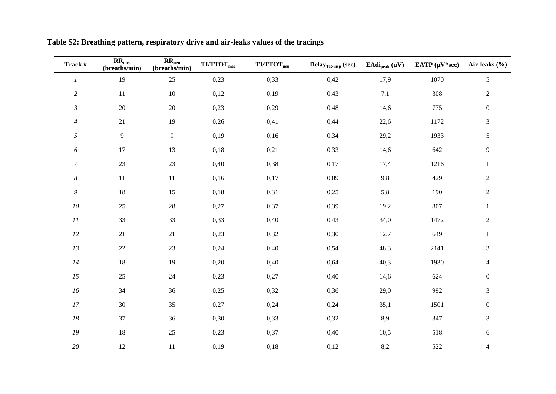| Track #                      | $RR_{\text{mec}}$<br>(breaths/min) | RR <sub>neu</sub><br>(breaths/min) | $T\text{I}/T\text{TOT}_{\text{mec}}$ | $\ensuremath{\mathbf{T}}\ensuremath{\mathbf{I}}/\ensuremath{\mathbf{T}}\ensuremath{\mathbf{T}}\ensuremath{\mathbf{O}}\ensuremath{\mathbf{T}}_{\text{neu}}$ | Delay $_{TR\text{-insp}}$ (sec) | EAdi <sub>peak</sub> $(\mu V)$ | EATP $(\mu V^*sec)$ | Air-leaks $(\% )$ |
|------------------------------|------------------------------------|------------------------------------|--------------------------------------|------------------------------------------------------------------------------------------------------------------------------------------------------------|---------------------------------|--------------------------------|---------------------|-------------------|
| $\cal I$                     | 19                                 | 25                                 | 0,23                                 | 0,33                                                                                                                                                       | 0,42                            | 17,9                           | 1070                | $5\,$             |
| $\sqrt{2}$                   | 11                                 | $10\,$                             | 0,12                                 | 0,19                                                                                                                                                       | 0,43                            | 7,1                            | 308                 | $\sqrt{2}$        |
| $\mathfrak{Z}$               | 20                                 | 20                                 | 0,23                                 | 0,29                                                                                                                                                       | 0,48                            | 14,6                           | 775                 | $\boldsymbol{0}$  |
| $\overline{4}$               | 21                                 | 19                                 | 0,26                                 | 0,41                                                                                                                                                       | 0,44                            | 22,6                           | 1172                | $\mathfrak 3$     |
| $\sqrt{2}$                   | $\overline{9}$                     | $\overline{9}$                     | 0,19                                 | 0,16                                                                                                                                                       | 0,34                            | 29,2                           | 1933                | $\sqrt{5}$        |
| $\boldsymbol{\delta}$        | 17                                 | 13                                 | 0,18                                 | 0,21                                                                                                                                                       | 0,33                            | 14,6                           | 642                 | $\boldsymbol{9}$  |
| $\boldsymbol{7}$             | 23                                 | 23                                 | 0,40                                 | 0,38                                                                                                                                                       | 0,17                            | 17,4                           | 1216                | $\,1\,$           |
| $\boldsymbol{8}$             | 11                                 | $11\,$                             | 0,16                                 | 0,17                                                                                                                                                       | 0,09                            | 9,8                            | 429                 | $\sqrt{2}$        |
| $\mathfrak g$                | 18                                 | 15                                 | 0,18                                 | 0,31                                                                                                                                                       | 0,25                            | 5,8                            | 190                 | $\sqrt{2}$        |
| ${\it 10}$                   | 25                                 | $28\,$                             | 0,27                                 | 0,37                                                                                                                                                       | 0,39                            | 19,2                           | 807                 | $\mathbf{1}$      |
| $\cal{I} \cal{I}$            | 33                                 | 33                                 | 0,33                                 | 0,40                                                                                                                                                       | 0,43                            | 34,0                           | 1472                | $\sqrt{2}$        |
| $12\,$                       | 21                                 | $21\,$                             | 0,23                                 | 0,32                                                                                                                                                       | 0,30                            | 12,7                           | 649                 | $\mathbf{1}$      |
| $13\,$                       | $22\,$                             | 23                                 | 0,24                                 | 0,40                                                                                                                                                       | 0,54                            | 48,3                           | 2141                | $\mathfrak{Z}$    |
| 14                           | 18                                 | 19                                 | 0,20                                 | 0,40                                                                                                                                                       | 0,64                            | 40,3                           | 1930                | $\overline{4}$    |
| 15                           | $25\,$                             | $24\,$                             | 0,23                                 | 0,27                                                                                                                                                       | 0,40                            | 14,6                           | 624                 | $\boldsymbol{0}$  |
| $16\,$                       | 34                                 | 36                                 | 0,25                                 | 0,32                                                                                                                                                       | 0,36                            | 29,0                           | 992                 | $\mathfrak{Z}$    |
| 17                           | 30                                 | 35                                 | 0,27                                 | 0,24                                                                                                                                                       | 0,24                            | 35,1                           | 1501                | $\boldsymbol{0}$  |
| $18\,$                       | 37                                 | 36                                 | 0,30                                 | 0,33                                                                                                                                                       | 0,32                            | 8,9                            | 347                 | $\mathfrak{Z}$    |
| $\ensuremath{\mathfrak{19}}$ | 18                                 | $25\,$                             | 0,23                                 | 0,37                                                                                                                                                       | 0,40                            | 10,5                           | 518                 | $\sqrt{6}$        |
| $20\,$                       | 12                                 | 11                                 | 0,19                                 | 0,18                                                                                                                                                       | 0,12                            | 8,2                            | 522                 | $\overline{4}$    |

**Table S2: Breathing pattern, respiratory drive and air-leaks values of the tracings**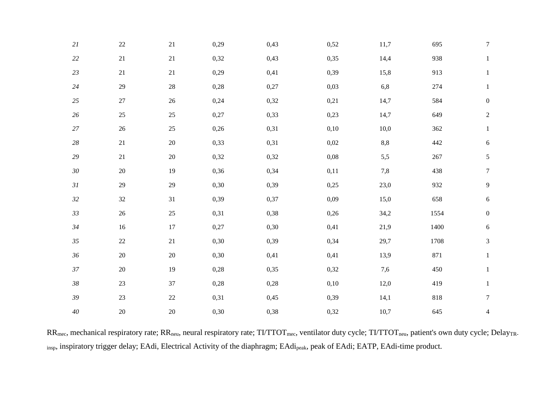| 21          | $22\,$ | $21\,$ | 0,29 | 0,43 | 0,52     | 11,7 | 695  | $\boldsymbol{7}$ |
|-------------|--------|--------|------|------|----------|------|------|------------------|
| 22          | $21\,$ | $21\,$ | 0,32 | 0,43 | 0,35     | 14,4 | 938  | $\mathbf{1}$     |
| $23\,$      | $21\,$ | 21     | 0,29 | 0,41 | 0,39     | 15,8 | 913  | $\mathbf{1}$     |
| $24\,$      | $29\,$ | 28     | 0,28 | 0,27 | 0,03     | 6,8  | 274  | $\mathbf{1}$     |
| $25\,$      | $27\,$ | 26     | 0,24 | 0,32 | 0,21     | 14,7 | 584  | $\boldsymbol{0}$ |
| $26\,$      | 25     | 25     | 0,27 | 0,33 | 0,23     | 14,7 | 649  | $\sqrt{2}$       |
| $27\,$      | 26     | $25\,$ | 0,26 | 0,31 | 0,10     | 10,0 | 362  | $\mathbf{1}$     |
| $28\,$      | 21     | $20\,$ | 0,33 | 0,31 | 0,02     | 8,8  | 442  | $\sqrt{6}$       |
| 29          | 21     | $20\,$ | 0,32 | 0,32 | $0,\!08$ | 5,5  | 267  | $\mathfrak{S}$   |
| $30\,$      | $20\,$ | 19     | 0,36 | 0,34 | 0,11     | 7,8  | 438  | $\boldsymbol{7}$ |
| $\sqrt{3}l$ | $29\,$ | $29\,$ | 0,30 | 0,39 | 0,25     | 23,0 | 932  | $\overline{9}$   |
| $32\,$      | $32\,$ | 31     | 0,39 | 0,37 | 0,09     | 15,0 | 658  | $6\phantom{.}6$  |
| 33          | $26\,$ | $25\,$ | 0,31 | 0,38 | 0,26     | 34,2 | 1554 | $\mathbf{0}$     |
| 34          | 16     | 17     | 0,27 | 0,30 | 0,41     | 21,9 | 1400 | $6\phantom{.}6$  |
| 35          | $22\,$ | 21     | 0,30 | 0,39 | 0,34     | 29,7 | 1708 | 3                |
| 36          | $20\,$ | $20\,$ | 0,30 | 0,41 | 0,41     | 13,9 | 871  | $\mathbf{1}$     |
| $37\,$      | $20\,$ | 19     | 0,28 | 0,35 | 0,32     | 7,6  | 450  | $\mathbf{1}$     |
| $38\,$      | 23     | 37     | 0,28 | 0,28 | 0,10     | 12,0 | 419  | $\mathbf{1}$     |
| 39          | $23\,$ | $22\,$ | 0,31 | 0,45 | 0,39     | 14,1 | 818  | $\boldsymbol{7}$ |
| $40\,$      | $20\,$ | $20\,$ | 0,30 | 0,38 | 0,32     | 10,7 | 645  | $\overline{4}$   |

 $RR_{mec}$ , mechanical respiratory rate;  $RR_{neu}$ , neural respiratory rate;  $TUTTOT_{mec}$ , ventilator duty cycle;  $TUTTOT_{neu}$ , patient's own duty cycle; Delay<sub>TR-</sub> insp, inspiratory trigger delay; EAdi, Electrical Activity of the diaphragm; EAdi<sub>peak</sub>, peak of EAdi; EATP, EAdi-time product.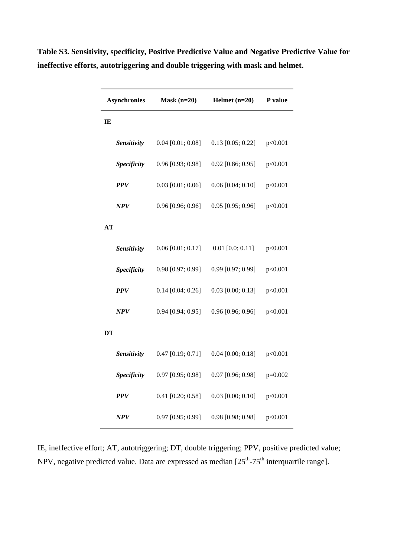| <b>Asynchronies</b> | $Mask (n=20)$       | Helmet $(n=20)$     | P value   |  |
|---------------------|---------------------|---------------------|-----------|--|
| IE                  |                     |                     |           |  |
| Sensitivity         | $0.04$ [0.01; 0.08] | $0.13$ [0.05; 0.22] | p<0.001   |  |
| <b>Specificity</b>  | $0.96$ [0.93; 0.98] | $0.92$ [0.86; 0.95] | p<0.001   |  |
| <b>PPV</b>          | $0.03$ [0.01; 0.06] | $0.06$ [0.04; 0.10] | p<0.001   |  |
| NPV                 | $0.96$ [0.96; 0.96] | $0.95$ [0.95; 0.96] | p<0.001   |  |
| AT                  |                     |                     |           |  |
| Sensitivity         | $0.06$ [0.01; 0.17] | $0.01$ [0.0; 0.11]  | p<0.001   |  |
| Specificity         | 0.98 [0.97; 0.99]   | 0.99 [0.97; 0.99]   | p<0.001   |  |
| <b>PPV</b>          | $0.14$ [0.04; 0.26] | $0.03$ [0.00; 0.13] | p<0.001   |  |
| NPV                 | $0.94$ [0.94; 0.95] | $0.96$ [0.96; 0.96] | p<0.001   |  |
| DT                  |                     |                     |           |  |
| Sensitivity         | $0.47$ [0.19; 0.71] | $0.04$ [0.00; 0.18] | p<0.001   |  |
| Specificity         | 0.97 [0.95; 0.98]   | 0.97 [0.96; 0.98]   | $p=0.002$ |  |
| <b>PPV</b>          | $0.41$ [0.20; 0.58] | $0.03$ [0.00; 0.10] | p<0.001   |  |
| NPV                 | 0.97 [0.95; 0.99]   | $0.98$ [0.98; 0.98] | p<0.001   |  |

**Table S3. Sensitivity, specificity, Positive Predictive Value and Negative Predictive Value for ineffective efforts, autotriggering and double triggering with mask and helmet.** 

IE, ineffective effort; AT, autotriggering; DT, double triggering; PPV, positive predicted value; NPV, negative predicted value. Data are expressed as median  $[25<sup>th</sup>-75<sup>th</sup>$  interquartile range].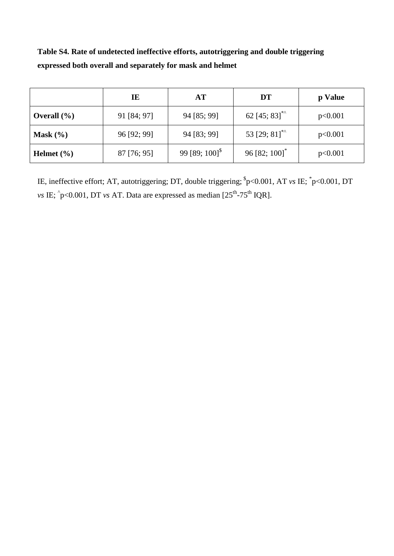**Table S4. Rate of undetected ineffective efforts, autotriggering and double triggering expressed both overall and separately for mask and helmet**

|                 | IE          | AT                            | DT                          | p Value |
|-----------------|-------------|-------------------------------|-----------------------------|---------|
| Overall $(\% )$ | 91 [84; 97] | 94 [85; 99]                   | 62 [45; 83] <sup>**</sup>   | p<0.001 |
| Mask $(\% )$    | 96 [92; 99] | 94 [83; 99]                   | 53 [29; 81] <sup>**</sup>   | p<0.001 |
| Helmet $(\% )$  | 87 [76; 95] | 99 [89; $100$ ] <sup>\$</sup> | $96 [82; 100]$ <sup>*</sup> | p<0.001 |

IE, ineffective effort; AT, autotriggering; DT, double triggering;  $p<sub>o</sub> > 0.001$ , AT *vs* IE;  $p<sub>o</sub> > 0.001$ , DT *vs* IE;  $\hat{p}$ <0.001, DT *vs* AT. Data are expressed as median [25<sup>th</sup>-75<sup>th</sup> IQR].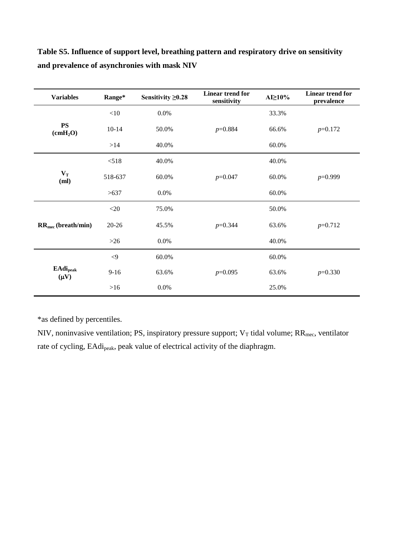| <b>Variables</b>                         | Range*      | Sensitivity $\geq 0.28$ | Linear trend for<br>sensitivity | $AI \ge 10\%$ | Linear trend for<br>prevalence |
|------------------------------------------|-------------|-------------------------|---------------------------------|---------------|--------------------------------|
| <b>PS</b><br>(cmH <sub>2</sub> O)        | $<\!\!10$   | $0.0\%$                 |                                 | 33.3%         |                                |
|                                          | $10 - 14$   | 50.0%                   | $p=0.884$                       | 66.6%         | $p=0.172$                      |
|                                          | >14         | 40.0%                   |                                 | 60.0%         |                                |
| $\mathbf{V_{T}}$<br>(ml)                 | < 518       | 40.0%                   |                                 | 40.0%         |                                |
|                                          | 518-637     | 60.0%                   | $p=0.047$                       | 60.0%         | $p=0.999$                      |
|                                          | >637        | 0.0%                    |                                 | 60.0%         |                                |
|                                          | $<$ 20      | 75.0%                   |                                 | 50.0%         |                                |
| $RR_{\text{mec}}$ (breath/min)           | $20 - 26$   | 45.5%                   | $p=0.344$                       | 63.6%         | $p=0.712$                      |
|                                          | $>26$       | 0.0%                    |                                 | 40.0%         |                                |
| <b>EAdi</b> <sub>peak</sub><br>$(\mu V)$ | $\langle 9$ | 60.0%                   |                                 | 60.0%         |                                |
|                                          | $9-16$      | 63.6%                   | $p=0.095$                       | 63.6%         | $p=0.330$                      |
|                                          | $>16$       | 0.0%                    |                                 | 25.0%         |                                |

**Table S5. Influence of support level, breathing pattern and respiratory drive on sensitivity and prevalence of asynchronies with mask NIV**

\*as defined by percentiles.

NIV, noninvasive ventilation; PS, inspiratory pressure support;  $V_T$  tidal volume;  $RR_{mec}$ , ventilator rate of cycling, EAdi<sub>peak</sub>, peak value of electrical activity of the diaphragm.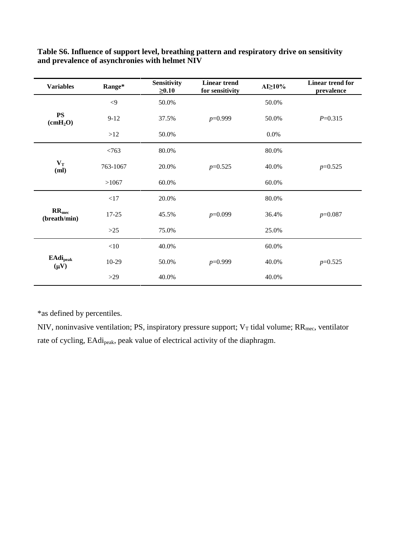| <b>Variables</b>                  | Range*     | Sensitivity<br>$\geq 0.10$ | <b>Linear trend</b><br>for sensitivity | $AI \geq 10\%$ | Linear trend for<br>prevalence |
|-----------------------------------|------------|----------------------------|----------------------------------------|----------------|--------------------------------|
| PS<br>(cmH <sub>2</sub> O)        | $< \!\! 9$ | 50.0%                      |                                        | 50.0%          |                                |
|                                   | $9-12$     | 37.5%                      | $p=0.999$                              | 50.0%          | $P=0.315$                      |
|                                   | >12        | 50.0%                      |                                        | $0.0\%$        |                                |
|                                   | < 763      | 80.0%                      |                                        | 80.0%          |                                |
| $\mathbf{V_{T}}$<br>(ml)          | 763-1067   | 20.0%                      | $p=0.525$                              | 40.0%          | $p=0.525$                      |
|                                   | >1067      | 60.0%                      |                                        | 60.0%          |                                |
|                                   | <17        | 20.0%                      |                                        | 80.0%          |                                |
| RR <sub>mec</sub><br>(breath/min) | 17-25      | 45.5%                      | $p=0.099$                              | 36.4%          | $p=0.087$                      |
|                                   | $>25$      | 75.0%                      |                                        | 25.0%          |                                |
|                                   | $<\!\!10$  | 40.0%                      |                                        | 60.0%          |                                |
| <b>EAdi</b> peak<br>$(\mu V)$     | 10-29      | 50.0%                      | $p=0.999$                              | 40.0%          | $p=0.525$                      |
|                                   | $>29$      | 40.0%                      |                                        | 40.0%          |                                |

**Table S6. Influence of support level, breathing pattern and respiratory drive on sensitivity and prevalence of asynchronies with helmet NIV**

\*as defined by percentiles.

NIV, noninvasive ventilation; PS, inspiratory pressure support;  $V_T$  tidal volume;  $RR_{mec}$ , ventilator rate of cycling, EAdipeak, peak value of electrical activity of the diaphragm.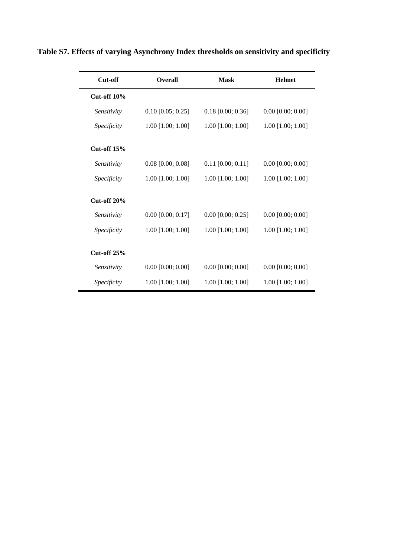| Cut-off            | <b>Overall</b>      | <b>Mask</b>         | <b>Helmet</b>       |
|--------------------|---------------------|---------------------|---------------------|
| Cut-off $10\%$     |                     |                     |                     |
| Sensitivity        | $0.10$ [0.05; 0.25] | $0.18$ [0.00; 0.36] | $0.00$ [0.00; 0.00] |
| Specificity        | $1.00$ [1.00; 1.00] | $1.00$ [1.00; 1.00] | $1.00$ [1.00; 1.00] |
| Cut-off $15%$      |                     |                     |                     |
| Sensitivity        | $0.08$ [0.00; 0.08] | $0.11$ [0.00; 0.11] | $0.00$ [0.00; 0.00] |
| <i>Specificity</i> | $1.00$ [1.00; 1.00] | $1.00$ [1.00; 1.00] | $1.00$ [1.00; 1.00] |
| Cut-off $20\%$     |                     |                     |                     |
| Sensitivity        | $0.00$ [0.00; 0.17] | $0.00$ [0.00; 0.25] | $0.00$ [0.00; 0.00] |
| Specificity        | 1.00 [1.00; 1.00]   | $1.00$ [1.00; 1.00] | $1.00$ [1.00; 1.00] |
| <b>Cut-off 25%</b> |                     |                     |                     |
| Sensitivity        | $0.00$ [0.00; 0.00] | $0.00$ [0.00; 0.00] | $0.00$ [0.00; 0.00] |
| <i>Specificity</i> | $1.00$ [1.00; 1.00] | $1.00$ [1.00; 1.00] | $1.00$ [1.00; 1.00] |

**Table S7. Effects of varying Asynchrony Index thresholds on sensitivity and specificity**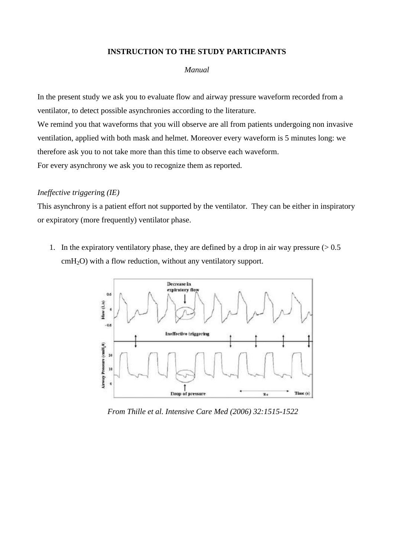## **INSTRUCTION TO THE STUDY PARTICIPANTS**

## *Manual*

In the present study we ask you to evaluate flow and airway pressure waveform recorded from a ventilator, to detect possible asynchronies according to the literature.

We remind you that waveforms that you will observe are all from patients undergoing non invasive ventilation, applied with both mask and helmet. Moreover every waveform is 5 minutes long: we therefore ask you to not take more than this time to observe each waveform. For every asynchrony we ask you to recognize them as reported.

## *Ineffective triggerin*g *(IE)*

This asynchrony is a patient effort not supported by the ventilator. They can be either in inspiratory or expiratory (more frequently) ventilator phase.

1. In the expiratory ventilatory phase, they are defined by a drop in air way pressure  $(> 0.5$  $cmH<sub>2</sub>O$ ) with a flow reduction, without any ventilatory support.



*From Thille et al. Intensive Care Med (2006) 32:1515-1522*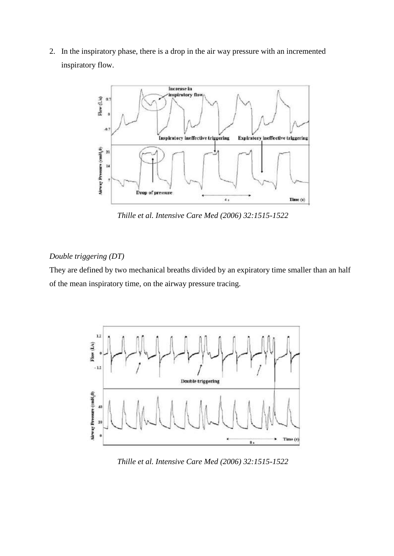2. In the inspiratory phase, there is a drop in the air way pressure with an incremented inspiratory flow.



*Thille et al. Intensive Care Med (2006) 32:1515-1522*

# *Double triggering (DT)*

They are defined by two mechanical breaths divided by an expiratory time smaller than an half of the mean inspiratory time, on the airway pressure tracing.



*Thille et al. Intensive Care Med (2006) 32:1515-1522*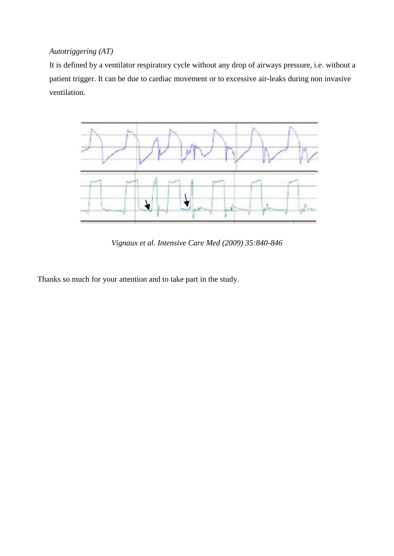# *Autotriggering (AT)*

It is defined by a ventilator respiratory cycle without any drop of airways pressure, i.e. without a patient trigger. It can be due to cardiac movement or to excessive air-leaks during non invasive ventilation.



*Vignaux et al. Intensive Care Med (2009) 35:840-846*

Thanks so much for your attention and to take part in the study.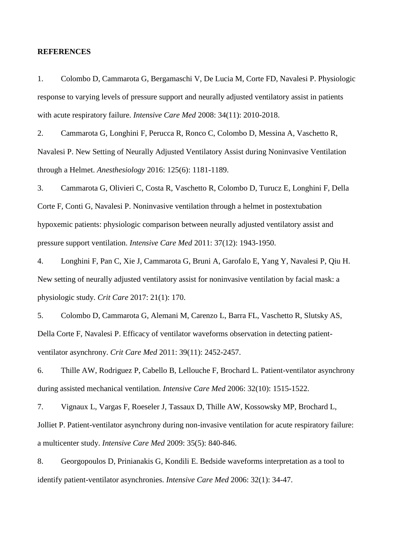#### **REFERENCES**

1. Colombo D, Cammarota G, Bergamaschi V, De Lucia M, Corte FD, Navalesi P. Physiologic response to varying levels of pressure support and neurally adjusted ventilatory assist in patients with acute respiratory failure. *Intensive Care Med* 2008: 34(11): 2010-2018.

2. Cammarota G, Longhini F, Perucca R, Ronco C, Colombo D, Messina A, Vaschetto R, Navalesi P. New Setting of Neurally Adjusted Ventilatory Assist during Noninvasive Ventilation through a Helmet. *Anesthesiology* 2016: 125(6): 1181-1189.

3. Cammarota G, Olivieri C, Costa R, Vaschetto R, Colombo D, Turucz E, Longhini F, Della Corte F, Conti G, Navalesi P. Noninvasive ventilation through a helmet in postextubation hypoxemic patients: physiologic comparison between neurally adjusted ventilatory assist and pressure support ventilation. *Intensive Care Med* 2011: 37(12): 1943-1950.

4. Longhini F, Pan C, Xie J, Cammarota G, Bruni A, Garofalo E, Yang Y, Navalesi P, Qiu H. New setting of neurally adjusted ventilatory assist for noninvasive ventilation by facial mask: a physiologic study. *Crit Care* 2017: 21(1): 170.

5. Colombo D, Cammarota G, Alemani M, Carenzo L, Barra FL, Vaschetto R, Slutsky AS, Della Corte F, Navalesi P. Efficacy of ventilator waveforms observation in detecting patientventilator asynchrony. *Crit Care Med* 2011: 39(11): 2452-2457.

6. Thille AW, Rodriguez P, Cabello B, Lellouche F, Brochard L. Patient-ventilator asynchrony during assisted mechanical ventilation. *Intensive Care Med* 2006: 32(10): 1515-1522.

7. Vignaux L, Vargas F, Roeseler J, Tassaux D, Thille AW, Kossowsky MP, Brochard L, Jolliet P. Patient-ventilator asynchrony during non-invasive ventilation for acute respiratory failure: a multicenter study. *Intensive Care Med* 2009: 35(5): 840-846.

8. Georgopoulos D, Prinianakis G, Kondili E. Bedside waveforms interpretation as a tool to identify patient-ventilator asynchronies. *Intensive Care Med* 2006: 32(1): 34-47.